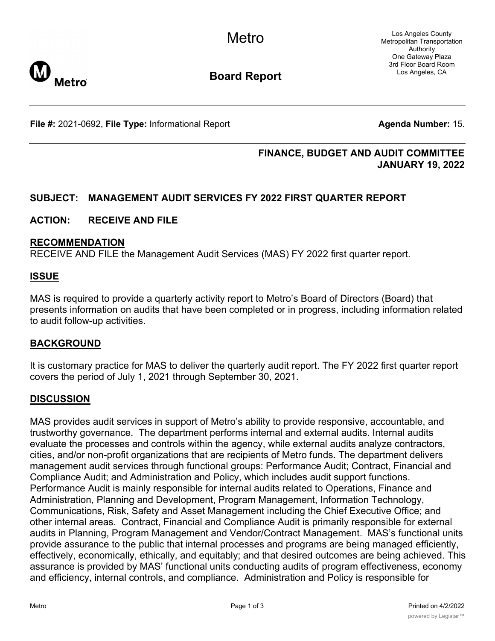

# **Board Report**

**File #:** 2021-0692, File Type: Informational Report **Agent Agent Agenda Number:** 15.

# **FINANCE, BUDGET AND AUDIT COMMITTEE JANUARY 19, 2022**

# **SUBJECT: MANAGEMENT AUDIT SERVICES FY 2022 FIRST QUARTER REPORT**

## **ACTION: RECEIVE AND FILE**

#### **RECOMMENDATION**

RECEIVE AND FILE the Management Audit Services (MAS) FY 2022 first quarter report.

### **ISSUE**

MAS is required to provide a quarterly activity report to Metro's Board of Directors (Board) that presents information on audits that have been completed or in progress, including information related to audit follow-up activities.

### **BACKGROUND**

It is customary practice for MAS to deliver the quarterly audit report. The FY 2022 first quarter report covers the period of July 1, 2021 through September 30, 2021.

### **DISCUSSION**

MAS provides audit services in support of Metro's ability to provide responsive, accountable, and trustworthy governance. The department performs internal and external audits. Internal audits evaluate the processes and controls within the agency, while external audits analyze contractors, cities, and/or non-profit organizations that are recipients of Metro funds. The department delivers management audit services through functional groups: Performance Audit; Contract, Financial and Compliance Audit; and Administration and Policy, which includes audit support functions. Performance Audit is mainly responsible for internal audits related to Operations, Finance and Administration, Planning and Development, Program Management, Information Technology, Communications, Risk, Safety and Asset Management including the Chief Executive Office; and other internal areas. Contract, Financial and Compliance Audit is primarily responsible for external audits in Planning, Program Management and Vendor/Contract Management. MAS's functional units provide assurance to the public that internal processes and programs are being managed efficiently, effectively, economically, ethically, and equitably; and that desired outcomes are being achieved. This assurance is provided by MAS' functional units conducting audits of program effectiveness, economy and efficiency, internal controls, and compliance. Administration and Policy is responsible for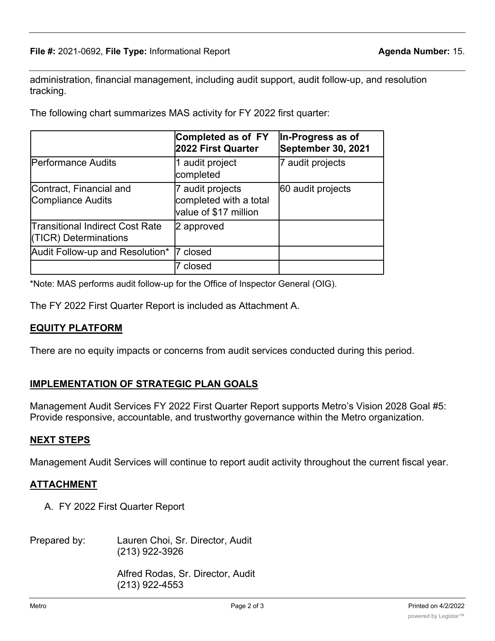administration, financial management, including audit support, audit follow-up, and resolution tracking.

The following chart summarizes MAS activity for FY 2022 first quarter:

|                                                          | Completed as of FY<br>2022 First Quarter                            | In-Progress as of<br>September 30, 2021 |
|----------------------------------------------------------|---------------------------------------------------------------------|-----------------------------------------|
| <b>Performance Audits</b>                                | 1 audit project<br>completed                                        | 7 audit projects                        |
| Contract, Financial and<br>Compliance Audits             | 7 audit projects<br>completed with a total<br>value of \$17 million | 60 audit projects                       |
| Transitional Indirect Cost Rate<br>(TICR) Determinations | 2 approved                                                          |                                         |
| Audit Follow-up and Resolution*                          | closed                                                              |                                         |
|                                                          | closed                                                              |                                         |

\*Note: MAS performs audit follow-up for the Office of Inspector General (OIG).

The FY 2022 First Quarter Report is included as Attachment A.

# **EQUITY PLATFORM**

There are no equity impacts or concerns from audit services conducted during this period.

# **IMPLEMENTATION OF STRATEGIC PLAN GOALS**

Management Audit Services FY 2022 First Quarter Report supports Metro's Vision 2028 Goal #5: Provide responsive, accountable, and trustworthy governance within the Metro organization.

# **NEXT STEPS**

Management Audit Services will continue to report audit activity throughout the current fiscal year.

# **ATTACHMENT**

- A. FY 2022 First Quarter Report
- Prepared by: Lauren Choi, Sr. Director, Audit (213) 922-3926

Alfred Rodas, Sr. Director, Audit (213) 922-4553